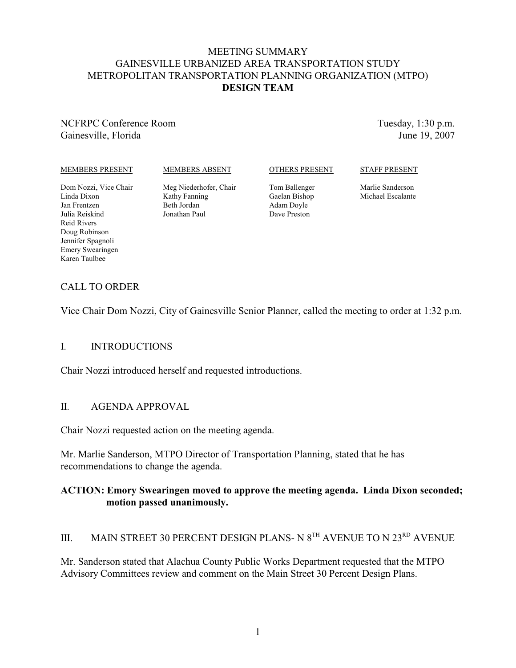### MEETING SUMMARY GAINESVILLE URBANIZED AREA TRANSPORTATION STUDY METROPOLITAN TRANSPORTATION PLANNING ORGANIZATION (MTPO) **DESIGN TEAM**

NCFRPC Conference Room Gainesville, Florida

Tuesday, 1:30 p.m. June 19, 2007

#### MEMBERS PRESENT

#### MEMBERS ABSENT

#### OTHERS PRESENT

#### STAFF PRESENT

Dom Nozzi, Vice Chair Linda Dixon Jan Frentzen Julia Reiskind Reid Rivers Doug Robinson Jennifer Spagnoli Emery Swearingen Karen Taulbee

Meg Niederhofer, Chair Kathy Fanning Beth Jordan Jonathan Paul

Tom Ballenger Gaelan Bishop Adam Doyle Dave Preston

Marlie Sanderson Michael Escalante

## CALL TO ORDER

Vice Chair Dom Nozzi, City of Gainesville Senior Planner, called the meeting to order at 1:32 p.m.

#### I. INTRODUCTIONS

Chair Nozzi introduced herself and requested introductions.

#### II. AGENDA APPROVAL

Chair Nozzi requested action on the meeting agenda.

Mr. Marlie Sanderson, MTPO Director of Transportation Planning, stated that he has recommendations to change the agenda.

#### **ACTION: Emory Swearingen moved to approve the meeting agenda. Linda Dixon seconded; motion passed unanimously.**

## III. MAIN STREET 30 PERCENT DESIGN PLANS- N  $8^{TH}$  AVENUE TO N  $23^{RD}$  AVENUE

Mr. Sanderson stated that Alachua County Public Works Department requested that the MTPO Advisory Committees review and comment on the Main Street 30 Percent Design Plans.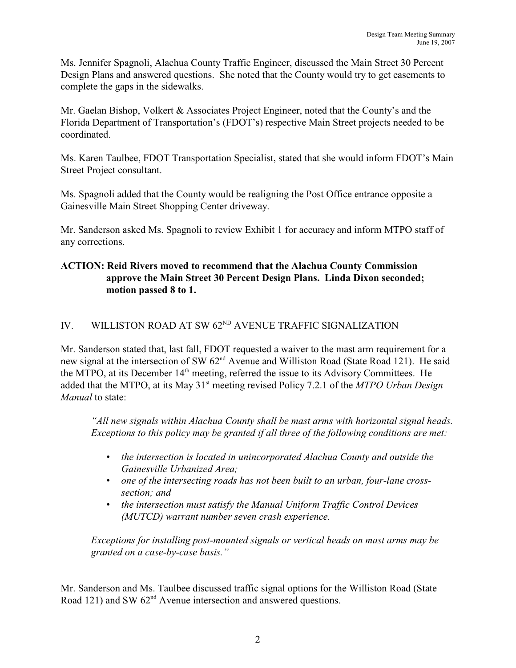Ms. Jennifer Spagnoli, Alachua County Traffic Engineer, discussed the Main Street 30 Percent Design Plans and answered questions. She noted that the County would try to get easements to complete the gaps in the sidewalks.

Mr. Gaelan Bishop, Volkert & Associates Project Engineer, noted that the County's and the Florida Department of Transportation's (FDOT's) respective Main Street projects needed to be coordinated.

Ms. Karen Taulbee, FDOT Transportation Specialist, stated that she would inform FDOT's Main Street Project consultant.

Ms. Spagnoli added that the County would be realigning the Post Office entrance opposite a Gainesville Main Street Shopping Center driveway.

Mr. Sanderson asked Ms. Spagnoli to review Exhibit 1 for accuracy and inform MTPO staff of any corrections.

## **ACTION: Reid Rivers moved to recommend that the Alachua County Commission approve the Main Street 30 Percent Design Plans. Linda Dixon seconded; motion passed 8 to 1.**

## IV. WILLISTON ROAD AT SW  $62<sup>ND</sup>$  AVENUE TRAFFIC SIGNALIZATION

Mr. Sanderson stated that, last fall, FDOT requested a waiver to the mast arm requirement for a new signal at the intersection of SW 62<sup>nd</sup> Avenue and Williston Road (State Road 121). He said the MTPO, at its December  $14<sup>th</sup>$  meeting, referred the issue to its Advisory Committees. He added that the MTPO, at its May 31<sup>st</sup> meeting revised Policy 7.2.1 of the *MTPO Urban Design Manual* to state:

*"All new signals within Alachua County shall be mast arms with horizontal signal heads. Exceptions to this policy may be granted if all three of the following conditions are met:*

- *• the intersection is located in unincorporated Alachua County and outside the Gainesville Urbanized Area;*
- *• one of the intersecting roads has not been built to an urban, four-lane crosssection; and*
- *• the intersection must satisfy the Manual Uniform Traffic Control Devices (MUTCD) warrant number seven crash experience.*

*Exceptions for installing post-mounted signals or vertical heads on mast arms may be granted on a case-by-case basis."*

Mr. Sanderson and Ms. Taulbee discussed traffic signal options for the Williston Road (State Road 121) and SW  $62<sup>nd</sup>$  Avenue intersection and answered questions.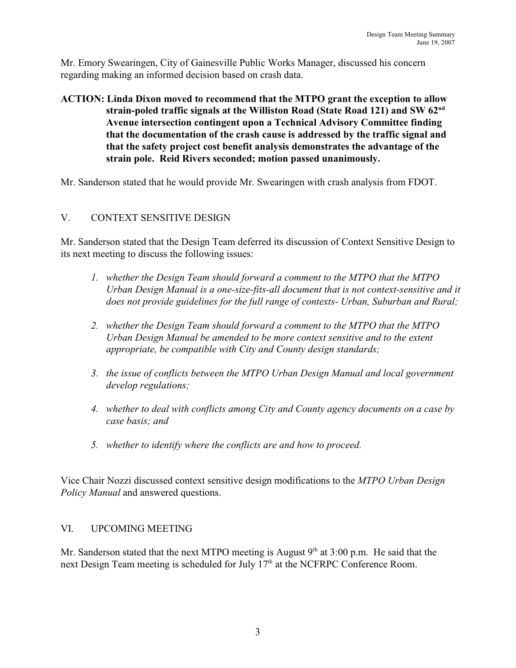Mr. Emory Swearingen, City of Gainesville Public Works Manager, discussed his concern regarding making an informed decision based on crash data.

## **ACTION: Linda Dixon moved to recommend that the MTPO grant the exception to allow strain-poled traffic signals at the Williston Road (State Road 121) and SW 62nd Avenue intersection contingent upon a Technical Advisory Committee finding that the documentation of the crash cause is addressed by the traffic signal and that the safety project cost benefit analysis demonstrates the advantage of the strain pole. Reid Rivers seconded; motion passed unanimously.**

Mr. Sanderson stated that he would provide Mr. Swearingen with crash analysis from FDOT.

## V. CONTEXT SENSITIVE DESIGN

Mr. Sanderson stated that the Design Team deferred its discussion of Context Sensitive Design to its next meeting to discuss the following issues:

- *1. whether the Design Team should forward a comment to the MTPO that the MTPO Urban Design Manual is a one-size-fits-all document that is not context-sensitive and it does not provide guidelines for the full range of contexts- Urban, Suburban and Rural;*
- *2. whether the Design Team should forward a comment to the MTPO that the MTPO Urban Design Manual be amended to be more context sensitive and to the extent appropriate, be compatible with City and County design standards;*
- *3. the issue of conflicts between the MTPO Urban Design Manual and local government develop regulations;*
- *4. whether to deal with conflicts among City and County agency documents on a case by case basis; and*
- *5. whether to identify where the conflicts are and how to proceed.*

Vice Chair Nozzi discussed context sensitive design modifications to the *MTPO Urban Design Policy Manual* and answered questions.

#### VI. UPCOMING MEETING

Mr. Sanderson stated that the next MTPO meeting is August  $9<sup>th</sup>$  at 3:00 p.m. He said that the next Design Team meeting is scheduled for July  $17<sup>th</sup>$  at the NCFRPC Conference Room.